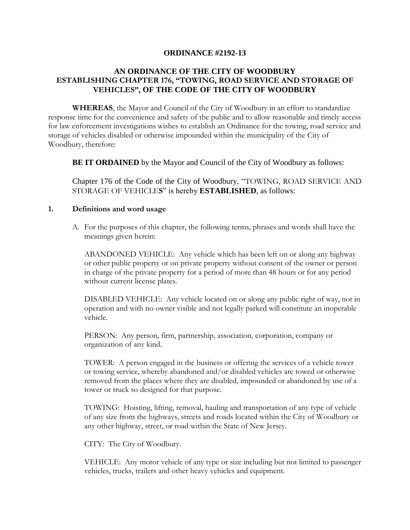## **ORDINANCE #2192-13**

# **AN ORDINANCE OF THE CITY OF WOODBURY ESTABLISHING CHAPTER 176, "TOWING, ROAD SERVICE AND STORAGE OF VEHICLES", OF THE CODE OF THE CITY OF WOODBURY**

**WHEREAS**, the Mayor and Council of the City of Woodbury in an effort to standardize response time for the convenience and safety of the public and to allow reasonable and timely access for law enforcement investigations wishes to establish an Ordinance for the towing, road service and storage of vehicles disabled or otherwise impounded within the municipality of the City of Woodbury, therefore:

**BE IT ORDAINED** by the Mayor and Council of the City of Woodbury as follows:

Chapter 176 of the Code of the City of Woodbury, "TOWING, ROAD SERVICE AND STORAGE OF VEHICLE**S**" is hereby **ESTABLISHED**, as follows:

#### **1. Definitions and word usage**

A. For the purposes of this chapter, the following terms, phrases and words shall have the meanings given herein:

ABANDONED VEHICLE: Any vehicle which has been left on or along any highway or other public property or on private property without consent of the owner or person in charge of the private property for a period of more than 48 hours or for any period without current license plates.

DISABLED VEHICLE: Any vehicle located on or along any public right of way, not in operation and with no owner visible and not legally parked will constitute an inoperable vehicle.

PERSON: Any person, firm, partnership, association, corporation, company or organization of any kind.

TOWER: A person engaged in the business or offering the services of a vehicle tower or towing service, whereby abandoned and/or disabled vehicles are towed or otherwise removed from the places where they are disabled, impounded or abandoned by use of a tower or truck so designed for that purpose.

TOWING: Hoisting, lifting, removal, hauling and transportation of any type of vehicle of any size from the highways, streets and roads located within the City of Woodbury or any other highway, street, or road within the State of New Jersey.

CITY: The City of Woodbury.

VEHICLE: Any motor vehicle of any type or size including but not limited to passenger vehicles, trucks, trailers and other heavy vehicles and equipment.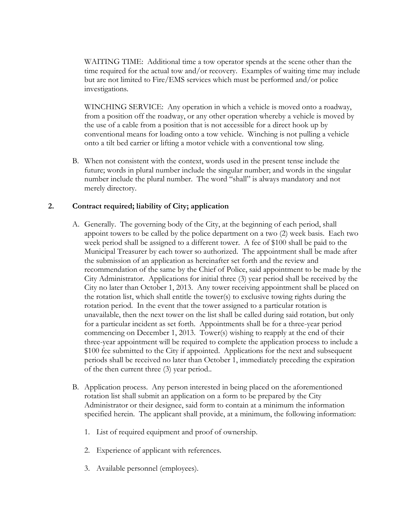WAITING TIME: Additional time a tow operator spends at the scene other than the time required for the actual tow and/or recovery. Examples of waiting time may include but are not limited to Fire/EMS services which must be performed and/or police investigations.

WINCHING SERVICE: Any operation in which a vehicle is moved onto a roadway, from a position off the roadway, or any other operation whereby a vehicle is moved by the use of a cable from a position that is not accessible for a direct hook up by conventional means for loading onto a tow vehicle. Winching is not pulling a vehicle onto a tilt bed carrier or lifting a motor vehicle with a conventional tow sling.

B. When not consistent with the context, words used in the present tense include the future; words in plural number include the singular number; and words in the singular number include the plural number. The word "shall" is always mandatory and not merely directory.

## **2. Contract required; liability of City; application**

- A. Generally. The governing body of the City, at the beginning of each period, shall appoint towers to be called by the police department on a two (2) week basis. Each two week period shall be assigned to a different tower. A fee of \$100 shall be paid to the Municipal Treasurer by each tower so authorized. The appointment shall be made after the submission of an application as hereinafter set forth and the review and recommendation of the same by the Chief of Police, said appointment to be made by the City Administrator. Applications for initial three (3) year period shall be received by the City no later than October 1, 2013. Any tower receiving appointment shall be placed on the rotation list, which shall entitle the tower(s) to exclusive towing rights during the rotation period. In the event that the tower assigned to a particular rotation is unavailable, then the next tower on the list shall be called during said rotation, but only for a particular incident as set forth. Appointments shall be for a three-year period commencing on December 1, 2013. Tower(s) wishing to reapply at the end of their three-year appointment will be required to complete the application process to include a \$100 fee submitted to the City if appointed. Applications for the next and subsequent periods shall be received no later than October 1, immediately preceding the expiration of the then current three (3) year period..
- B. Application process. Any person interested in being placed on the aforementioned rotation list shall submit an application on a form to be prepared by the City Administrator or their designee, said form to contain at a minimum the information specified herein. The applicant shall provide, at a minimum, the following information:
	- 1. List of required equipment and proof of ownership.
	- 2. Experience of applicant with references.
	- 3. Available personnel (employees).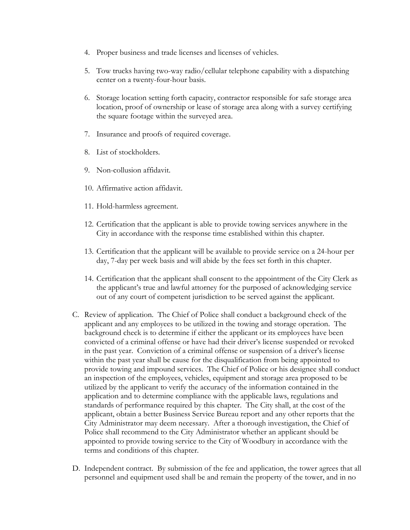- 4. Proper business and trade licenses and licenses of vehicles.
- 5. Tow trucks having two-way radio/cellular telephone capability with a dispatching center on a twenty-four-hour basis.
- 6. Storage location setting forth capacity, contractor responsible for safe storage area location, proof of ownership or lease of storage area along with a survey certifying the square footage within the surveyed area.
- 7. Insurance and proofs of required coverage.
- 8. List of stockholders.
- 9. Non-collusion affidavit.
- 10. Affirmative action affidavit.
- 11. Hold-harmless agreement.
- 12. Certification that the applicant is able to provide towing services anywhere in the City in accordance with the response time established within this chapter.
- 13. Certification that the applicant will be available to provide service on a 24-hour per day, 7-day per week basis and will abide by the fees set forth in this chapter.
- 14. Certification that the applicant shall consent to the appointment of the City Clerk as the applicant's true and lawful attorney for the purposed of acknowledging service out of any court of competent jurisdiction to be served against the applicant.
- C. Review of application. The Chief of Police shall conduct a background check of the applicant and any employees to be utilized in the towing and storage operation. The background check is to determine if either the applicant or its employees have been convicted of a criminal offense or have had their driver's license suspended or revoked in the past year. Conviction of a criminal offense or suspension of a driver's license within the past year shall be cause for the disqualification from being appointed to provide towing and impound services. The Chief of Police or his designee shall conduct an inspection of the employees, vehicles, equipment and storage area proposed to be utilized by the applicant to verify the accuracy of the information contained in the application and to determine compliance with the applicable laws, regulations and standards of performance required by this chapter. The City shall, at the cost of the applicant, obtain a better Business Service Bureau report and any other reports that the City Administrator may deem necessary. After a thorough investigation, the Chief of Police shall recommend to the City Administrator whether an applicant should be appointed to provide towing service to the City of Woodbury in accordance with the terms and conditions of this chapter.
- D. Independent contract. By submission of the fee and application, the tower agrees that all personnel and equipment used shall be and remain the property of the tower, and in no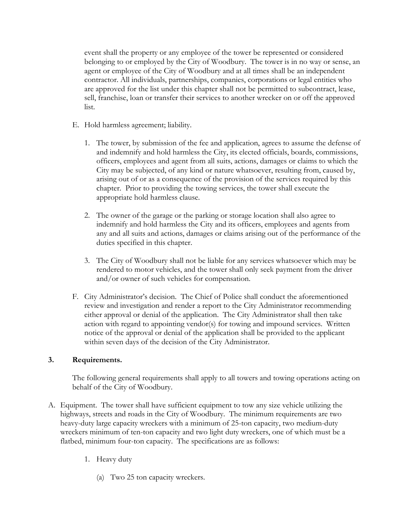event shall the property or any employee of the tower be represented or considered belonging to or employed by the City of Woodbury. The tower is in no way or sense, an agent or employee of the City of Woodbury and at all times shall be an independent contractor. All individuals, partnerships, companies, corporations or legal entities who are approved for the list under this chapter shall not be permitted to subcontract, lease, sell, franchise, loan or transfer their services to another wrecker on or off the approved list.

- E. Hold harmless agreement; liability.
	- 1. The tower, by submission of the fee and application, agrees to assume the defense of and indemnify and hold harmless the City, its elected officials, boards, commissions, officers, employees and agent from all suits, actions, damages or claims to which the City may be subjected, of any kind or nature whatsoever, resulting from, caused by, arising out of or as a consequence of the provision of the services required by this chapter. Prior to providing the towing services, the tower shall execute the appropriate hold harmless clause.
	- 2. The owner of the garage or the parking or storage location shall also agree to indemnify and hold harmless the City and its officers, employees and agents from any and all suits and actions, damages or claims arising out of the performance of the duties specified in this chapter.
	- 3. The City of Woodbury shall not be liable for any services whatsoever which may be rendered to motor vehicles, and the tower shall only seek payment from the driver and/or owner of such vehicles for compensation.
- F. City Administrator's decision. The Chief of Police shall conduct the aforementioned review and investigation and render a report to the City Administrator recommending either approval or denial of the application. The City Administrator shall then take action with regard to appointing vendor(s) for towing and impound services. Written notice of the approval or denial of the application shall be provided to the applicant within seven days of the decision of the City Administrator.

## **3. Requirements.**

The following general requirements shall apply to all towers and towing operations acting on behalf of the City of Woodbury.

- A. Equipment. The tower shall have sufficient equipment to tow any size vehicle utilizing the highways, streets and roads in the City of Woodbury. The minimum requirements are two heavy-duty large capacity wreckers with a minimum of 25-ton capacity, two medium-duty wreckers minimum of ten-ton capacity and two light duty wreckers, one of which must be a flatbed, minimum four-ton capacity. The specifications are as follows:
	- 1. Heavy duty
		- (a) Two 25 ton capacity wreckers.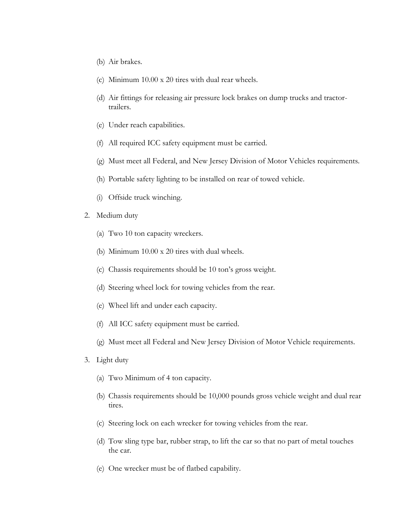- (b) Air brakes.
- (c) Minimum 10.00 x 20 tires with dual rear wheels.
- (d) Air fittings for releasing air pressure lock brakes on dump trucks and tractortrailers.
- (e) Under reach capabilities.
- (f) All required ICC safety equipment must be carried.
- (g) Must meet all Federal, and New Jersey Division of Motor Vehicles requirements.
- (h) Portable safety lighting to be installed on rear of towed vehicle.
- (i) Offside truck winching.
- 2. Medium duty
	- (a) Two 10 ton capacity wreckers.
	- (b) Minimum 10.00 x 20 tires with dual wheels.
	- (c) Chassis requirements should be 10 ton's gross weight.
	- (d) Steering wheel lock for towing vehicles from the rear.
	- (e) Wheel lift and under each capacity.
	- (f) All ICC safety equipment must be carried.
	- (g) Must meet all Federal and New Jersey Division of Motor Vehicle requirements.
- 3. Light duty
	- (a) Two Minimum of 4 ton capacity.
	- (b) Chassis requirements should be 10,000 pounds gross vehicle weight and dual rear tires.
	- (c) Steering lock on each wrecker for towing vehicles from the rear.
	- (d) Tow sling type bar, rubber strap, to lift the car so that no part of metal touches the car.
	- (e) One wrecker must be of flatbed capability.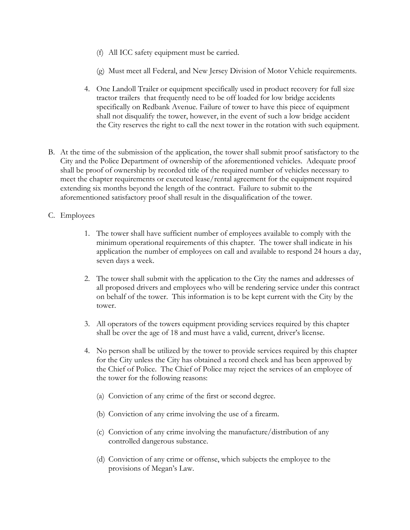- (f) All ICC safety equipment must be carried.
- (g) Must meet all Federal, and New Jersey Division of Motor Vehicle requirements.
- 4. One Landoll Trailer or equipment specifically used in product recovery for full size tractor trailers that frequently need to be off loaded for low bridge accidents specifically on Redbank Avenue. Failure of tower to have this piece of equipment shall not disqualify the tower, however, in the event of such a low bridge accident the City reserves the right to call the next tower in the rotation with such equipment.
- B. At the time of the submission of the application, the tower shall submit proof satisfactory to the City and the Police Department of ownership of the aforementioned vehicles. Adequate proof shall be proof of ownership by recorded title of the required number of vehicles necessary to meet the chapter requirements or executed lease/rental agreement for the equipment required extending six months beyond the length of the contract. Failure to submit to the aforementioned satisfactory proof shall result in the disqualification of the tower.
- C. Employees
	- 1. The tower shall have sufficient number of employees available to comply with the minimum operational requirements of this chapter. The tower shall indicate in his application the number of employees on call and available to respond 24 hours a day, seven days a week.
	- 2. The tower shall submit with the application to the City the names and addresses of all proposed drivers and employees who will be rendering service under this contract on behalf of the tower. This information is to be kept current with the City by the tower.
	- 3. All operators of the towers equipment providing services required by this chapter shall be over the age of 18 and must have a valid, current, driver's license.
	- 4. No person shall be utilized by the tower to provide services required by this chapter for the City unless the City has obtained a record check and has been approved by the Chief of Police. The Chief of Police may reject the services of an employee of the tower for the following reasons:
		- (a) Conviction of any crime of the first or second degree.
		- (b) Conviction of any crime involving the use of a firearm.
		- (c) Conviction of any crime involving the manufacture/distribution of any controlled dangerous substance.
		- (d) Conviction of any crime or offense, which subjects the employee to the provisions of Megan's Law.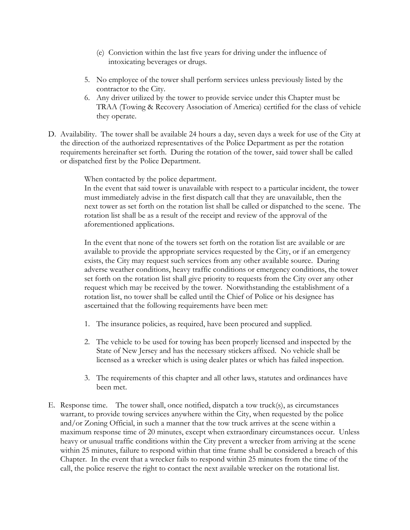- (e) Conviction within the last five years for driving under the influence of intoxicating beverages or drugs.
- 5. No employee of the tower shall perform services unless previously listed by the contractor to the City.
- 6. Any driver utilized by the tower to provide service under this Chapter must be TRAA (Towing & Recovery Association of America) certified for the class of vehicle they operate.
- D. Availability. The tower shall be available 24 hours a day, seven days a week for use of the City at the direction of the authorized representatives of the Police Department as per the rotation requirements hereinafter set forth. During the rotation of the tower, said tower shall be called or dispatched first by the Police Department.

When contacted by the police department.

In the event that said tower is unavailable with respect to a particular incident, the tower must immediately advise in the first dispatch call that they are unavailable, then the next tower as set forth on the rotation list shall be called or dispatched to the scene. The rotation list shall be as a result of the receipt and review of the approval of the aforementioned applications.

In the event that none of the towers set forth on the rotation list are available or are available to provide the appropriate services requested by the City, or if an emergency exists, the City may request such services from any other available source. During adverse weather conditions, heavy traffic conditions or emergency conditions, the tower set forth on the rotation list shall give priority to requests from the City over any other request which may be received by the tower. Notwithstanding the establishment of a rotation list, no tower shall be called until the Chief of Police or his designee has ascertained that the following requirements have been met:

- 1. The insurance policies, as required, have been procured and supplied.
- 2. The vehicle to be used for towing has been properly licensed and inspected by the State of New Jersey and has the necessary stickers affixed. No vehicle shall be licensed as a wrecker which is using dealer plates or which has failed inspection.
- 3. The requirements of this chapter and all other laws, statutes and ordinances have been met.
- E. Response time. The tower shall, once notified, dispatch a tow truck(s), as circumstances warrant, to provide towing services anywhere within the City, when requested by the police and/or Zoning Official, in such a manner that the tow truck arrives at the scene within a maximum response time of 20 minutes, except when extraordinary circumstances occur. Unless heavy or unusual traffic conditions within the City prevent a wrecker from arriving at the scene within 25 minutes, failure to respond within that time frame shall be considered a breach of this Chapter. In the event that a wrecker fails to respond within 25 minutes from the time of the call, the police reserve the right to contact the next available wrecker on the rotational list.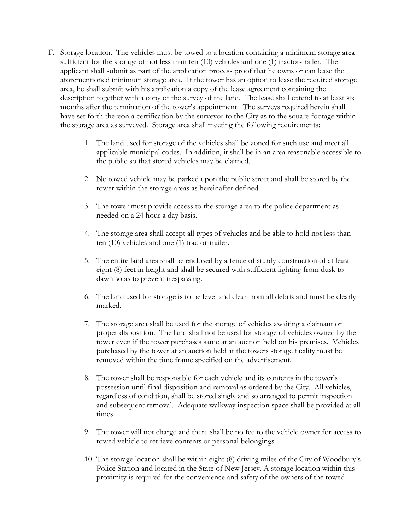- F. Storage location. The vehicles must be towed to a location containing a minimum storage area sufficient for the storage of not less than ten (10) vehicles and one (1) tractor-trailer. The applicant shall submit as part of the application process proof that he owns or can lease the aforementioned minimum storage area. If the tower has an option to lease the required storage area, he shall submit with his application a copy of the lease agreement containing the description together with a copy of the survey of the land. The lease shall extend to at least six months after the termination of the tower's appointment. The surveys required herein shall have set forth thereon a certification by the surveyor to the City as to the square footage within the storage area as surveyed. Storage area shall meeting the following requirements:
	- 1. The land used for storage of the vehicles shall be zoned for such use and meet all applicable municipal codes. In addition, it shall be in an area reasonable accessible to the public so that stored vehicles may be claimed.
	- 2. No towed vehicle may be parked upon the public street and shall be stored by the tower within the storage areas as hereinafter defined.
	- 3. The tower must provide access to the storage area to the police department as needed on a 24 hour a day basis.
	- 4. The storage area shall accept all types of vehicles and be able to hold not less than ten (10) vehicles and one (1) tractor-trailer.
	- 5. The entire land area shall be enclosed by a fence of sturdy construction of at least eight (8) feet in height and shall be secured with sufficient lighting from dusk to dawn so as to prevent trespassing.
	- 6. The land used for storage is to be level and clear from all debris and must be clearly marked.
	- 7. The storage area shall be used for the storage of vehicles awaiting a claimant or proper disposition. The land shall not be used for storage of vehicles owned by the tower even if the tower purchases same at an auction held on his premises. Vehicles purchased by the tower at an auction held at the towers storage facility must be removed within the time frame specified on the advertisement.
	- 8. The tower shall be responsible for each vehicle and its contents in the tower's possession until final disposition and removal as ordered by the City. All vehicles, regardless of condition, shall be stored singly and so arranged to permit inspection and subsequent removal. Adequate walkway inspection space shall be provided at all times
	- 9. The tower will not charge and there shall be no fee to the vehicle owner for access to towed vehicle to retrieve contents or personal belongings.
	- 10. The storage location shall be within eight (8) driving miles of the City of Woodbury's Police Station and located in the State of New Jersey. A storage location within this proximity is required for the convenience and safety of the owners of the towed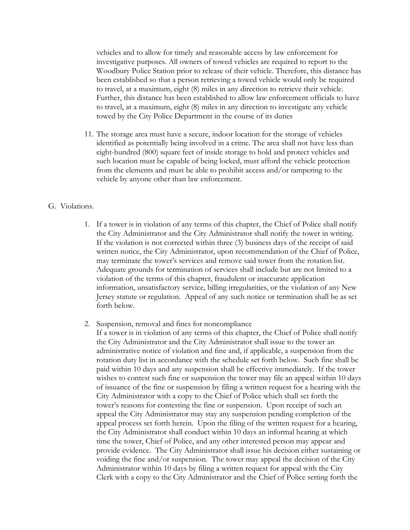vehicles and to allow for timely and reasonable access by law enforcement for investigative purposes. All owners of towed vehicles are required to report to the Woodbury Police Station prior to release of their vehicle. Therefore, this distance has been established so that a person retrieving a towed vehicle would only be required to travel, at a maximum, eight (8) miles in any direction to retrieve their vehicle. Further, this distance has been established to allow law enforcement officials to have to travel, at a maximum, eight (8) miles in any direction to investigate any vehicle towed by the City Police Department in the course of its duties

11. The storage area must have a secure, indoor location for the storage of vehicles identified as potentially being involved in a crime. The area shall not have less than eight-hundred (800) square feet of inside storage to hold and protect vehicles and such location must be capable of being locked, must afford the vehicle protection from the elements and must be able to prohibit access and/or tampering to the vehicle by anyone other than law enforcement.

#### G. Violations.

- 1. If a tower is in violation of any terms of this chapter, the Chief of Police shall notify the City Administrator and the City Administrator shall notify the tower in writing. If the violation is not corrected within three (3) business days of the receipt of said written notice, the City Administrator, upon recommendation of the Chief of Police, may terminate the tower's services and remove said tower from the rotation list. Adequate grounds for termination of services shall include but are not limited to a violation of the terms of this chapter, fraudulent or inaccurate application information, unsatisfactory service, billing irregularities, or the violation of any New Jersey statute or regulation. Appeal of any such notice or termination shall be as set forth below.
- 2. Suspension, removal and fines for noncompliance
	- If a tower is in violation of any terms of this chapter, the Chief of Police shall notify the City Administrator and the City Administrator shall issue to the tower an administrative notice of violation and fine and, if applicable, a suspension from the rotation duty list in accordance with the schedule set forth below. Such fine shall be paid within 10 days and any suspension shall be effective immediately. If the tower wishes to contest such fine or suspension the tower may file an appeal within 10 days of issuance of the fine or suspension by filing a written request for a hearing with the City Administrator with a copy to the Chief of Police which shall set forth the tower's reasons for contesting the fine or suspension. Upon receipt of such an appeal the City Administrator may stay any suspension pending completion of the appeal process set forth herein. Upon the filing of the written request for a hearing, the City Administrator shall conduct within 10 days an informal hearing at which time the tower, Chief of Police, and any other interested person may appear and provide evidence. The City Administrator shall issue his decision either sustaining or voiding the fine and/or suspension. The tower may appeal the decision of the City Administrator within 10 days by filing a written request for appeal with the City Clerk with a copy to the City Administrator and the Chief of Police setting forth the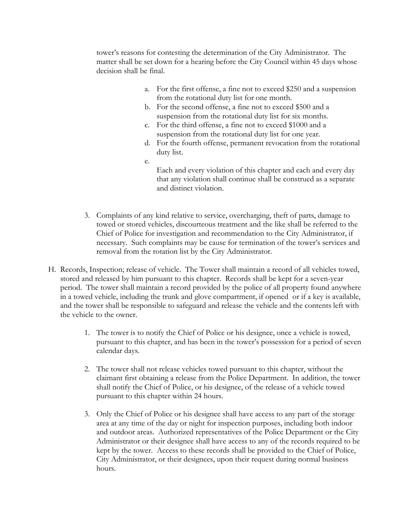tower's reasons for contesting the determination of the City Administrator. The matter shall be set down for a hearing before the City Council within 45 days whose decision shall be final.

- a. For the first offense, a fine not to exceed \$250 and a suspension from the rotational duty list for one month.
- b. For the second offense, a fine not to exceed \$500 and a suspension from the rotational duty list for six months.
- c. For the third offense, a fine not to exceed \$1000 and a suspension from the rotational duty list for one year.
- d. For the fourth offense, permanent revocation from the rotational duty list.
- e.
- Each and every violation of this chapter and each and every day that any violation shall continue shall be construed as a separate and distinct violation.
- 3. Complaints of any kind relative to service, overcharging, theft of parts, damage to towed or stored vehicles, discourteous treatment and the like shall be referred to the Chief of Police for investigation and recommendation to the City Administrator, if necessary. Such complaints may be cause for termination of the tower's services and removal from the rotation list by the City Administrator.
- H. Records, Inspection; release of vehicle. The Tower shall maintain a record of all vehicles towed, stored and released by him pursuant to this chapter. Records shall be kept for a seven-year period. The tower shall maintain a record provided by the police of all property found anywhere in a towed vehicle, including the trunk and glove compartment, if opened or if a key is available, and the tower shall be responsible to safeguard and release the vehicle and the contents left with the vehicle to the owner.
	- 1. The tower is to notify the Chief of Police or his designee, once a vehicle is towed, pursuant to this chapter, and has been in the tower's possession for a period of seven calendar days.
	- 2. The tower shall not release vehicles towed pursuant to this chapter, without the claimant first obtaining a release from the Police Department. In addition, the tower shall notify the Chief of Police, or his designee, of the release of a vehicle towed pursuant to this chapter within 24 hours.
	- 3. Only the Chief of Police or his designee shall have access to any part of the storage area at any time of the day or night for inspection purposes, including both indoor and outdoor areas. Authorized representatives of the Police Department or the City Administrator or their designee shall have access to any of the records required to be kept by the tower. Access to these records shall be provided to the Chief of Police, City Administrator, or their designees, upon their request during normal business hours.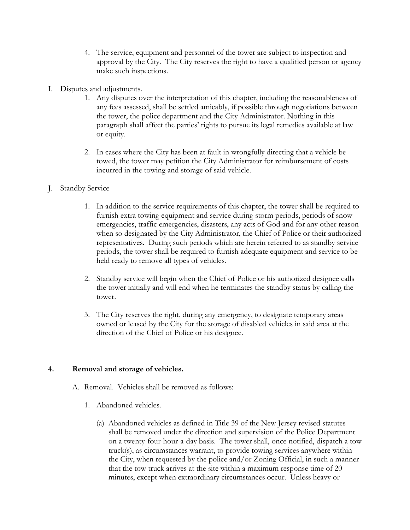- 4. The service, equipment and personnel of the tower are subject to inspection and approval by the City. The City reserves the right to have a qualified person or agency make such inspections.
- I. Disputes and adjustments.
	- 1. Any disputes over the interpretation of this chapter, including the reasonableness of any fees assessed, shall be settled amicably, if possible through negotiations between the tower, the police department and the City Administrator. Nothing in this paragraph shall affect the parties' rights to pursue its legal remedies available at law or equity.
	- 2. In cases where the City has been at fault in wrongfully directing that a vehicle be towed, the tower may petition the City Administrator for reimbursement of costs incurred in the towing and storage of said vehicle.
- J. Standby Service
	- 1. In addition to the service requirements of this chapter, the tower shall be required to furnish extra towing equipment and service during storm periods, periods of snow emergencies, traffic emergencies, disasters, any acts of God and for any other reason when so designated by the City Administrator, the Chief of Police or their authorized representatives. During such periods which are herein referred to as standby service periods, the tower shall be required to furnish adequate equipment and service to be held ready to remove all types of vehicles.
	- 2. Standby service will begin when the Chief of Police or his authorized designee calls the tower initially and will end when he terminates the standby status by calling the tower.
	- 3. The City reserves the right, during any emergency, to designate temporary areas owned or leased by the City for the storage of disabled vehicles in said area at the direction of the Chief of Police or his designee.

## **4. Removal and storage of vehicles.**

- A. Removal. Vehicles shall be removed as follows:
	- 1. Abandoned vehicles.
		- (a) Abandoned vehicles as defined in Title 39 of the New Jersey revised statutes shall be removed under the direction and supervision of the Police Department on a twenty-four-hour-a-day basis. The tower shall, once notified, dispatch a tow truck(s), as circumstances warrant, to provide towing services anywhere within the City, when requested by the police and/or Zoning Official, in such a manner that the tow truck arrives at the site within a maximum response time of 20 minutes, except when extraordinary circumstances occur. Unless heavy or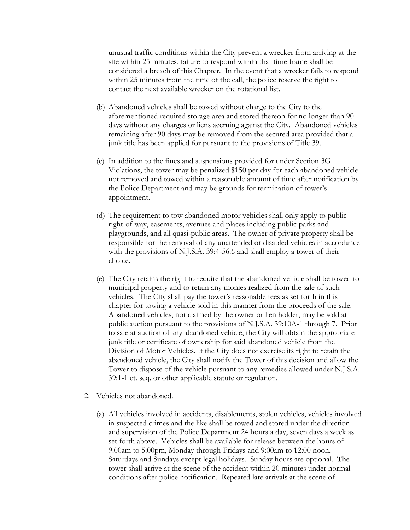unusual traffic conditions within the City prevent a wrecker from arriving at the site within 25 minutes, failure to respond within that time frame shall be considered a breach of this Chapter. In the event that a wrecker fails to respond within 25 minutes from the time of the call, the police reserve the right to contact the next available wrecker on the rotational list.

- (b) Abandoned vehicles shall be towed without charge to the City to the aforementioned required storage area and stored thereon for no longer than 90 days without any charges or liens accruing against the City. Abandoned vehicles remaining after 90 days may be removed from the secured area provided that a junk title has been applied for pursuant to the provisions of Title 39.
- (c) In addition to the fines and suspensions provided for under Section 3G Violations, the tower may be penalized \$150 per day for each abandoned vehicle not removed and towed within a reasonable amount of time after notification by the Police Department and may be grounds for termination of tower's appointment.
- (d) The requirement to tow abandoned motor vehicles shall only apply to public right-of-way, easements, avenues and places including public parks and playgrounds, and all quasi-public areas. The owner of private property shall be responsible for the removal of any unattended or disabled vehicles in accordance with the provisions of N.J.S.A. 39:4-56.6 and shall employ a tower of their choice.
- (e) The City retains the right to require that the abandoned vehicle shall be towed to municipal property and to retain any monies realized from the sale of such vehicles. The City shall pay the tower's reasonable fees as set forth in this chapter for towing a vehicle sold in this manner from the proceeds of the sale. Abandoned vehicles, not claimed by the owner or lien holder, may be sold at public auction pursuant to the provisions of N.J.S.A. 39:10A-1 through 7. Prior to sale at auction of any abandoned vehicle, the City will obtain the appropriate junk title or certificate of ownership for said abandoned vehicle from the Division of Motor Vehicles. It the City does not exercise its right to retain the abandoned vehicle, the City shall notify the Tower of this decision and allow the Tower to dispose of the vehicle pursuant to any remedies allowed under N.J.S.A. 39:1-1 et. seq. or other applicable statute or regulation.
- 2. Vehicles not abandoned.
	- (a) All vehicles involved in accidents, disablements, stolen vehicles, vehicles involved in suspected crimes and the like shall be towed and stored under the direction and supervision of the Police Department 24 hours a day, seven days a week as set forth above. Vehicles shall be available for release between the hours of 9:00am to 5:00pm, Monday through Fridays and 9:00am to 12:00 noon, Saturdays and Sundays except legal holidays. Sunday hours are optional. The tower shall arrive at the scene of the accident within 20 minutes under normal conditions after police notification. Repeated late arrivals at the scene of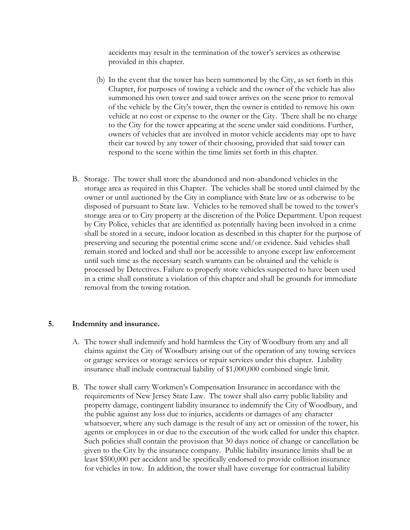accidents may result in the termination of the tower's services as otherwise provided in this chapter.

- (b) In the event that the tower has been summoned by the City, as set forth in this Chapter, for purposes of towing a vehicle and the owner of the vehicle has also summoned his own tower and said tower arrives on the scene prior to removal of the vehicle by the City's tower, then the owner is entitled to remove his own vehicle at no cost or expense to the owner or the City. There shall be no charge to the City for the tower appearing at the scene under said conditions. Further, owners of vehicles that are involved in motor vehicle accidents may opt to have their car towed by any tower of their choosing, provided that said tower can respond to the scene within the time limits set forth in this chapter.
- B. Storage. The tower shall store the abandoned and non-abandoned vehicles in the storage area as required in this Chapter. The vehicles shall be stored until claimed by the owner or until auctioned by the City in compliance with State law or as otherwise to be disposed of pursuant to State law. Vehicles to be removed shall be towed to the tower's storage area or to City property at the discretion of the Police Department. Upon request by City Police, vehicles that are identified as potentially having been involved in a crime shall be stored in a secure, indoor location as described in this chapter for the purpose of preserving and securing the potential crime scene and/or evidence. Said vehicles shall remain stored and locked and shall not be accessible to anyone except law enforcement until such time as the necessary search warrants can be obtained and the vehicle is processed by Detectives. Failure to properly store vehicles suspected to have been used in a crime shall constitute a violation of this chapter and shall be grounds for immediate removal from the towing rotation.

#### **5. Indemnity and insurance.**

- A. The tower shall indemnify and hold harmless the City of Woodbury from any and all claims against the City of Woodbury arising out of the operation of any towing services or garage services or storage services or repair services under this chapter. Liability insurance shall include contractual liability of \$1,000,000 combined single limit.
- B. The tower shall carry Workmen's Compensation Insurance in accordance with the requirements of New Jersey State Law. The tower shall also carry public liability and property damage, contingent liability insurance to indemnify the City of Woodbury, and the public against any loss due to injuries, accidents or damages of any character whatsoever, where any such damage is the result of any act or omission of the tower, his agents or employees in or due to the execution of the work called for under this chapter. Such policies shall contain the provision that 30 days notice of change or cancellation be given to the City by the insurance company. Public liability insurance limits shall be at least \$500,000 per accident and be specifically endorsed to provide collision insurance for vehicles in tow. In addition, the tower shall have coverage for contractual liability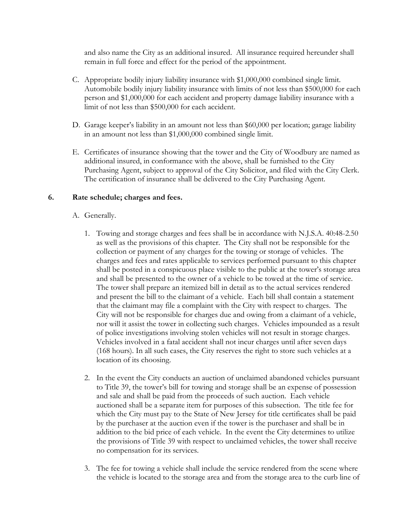and also name the City as an additional insured. All insurance required hereunder shall remain in full force and effect for the period of the appointment.

- C. Appropriate bodily injury liability insurance with \$1,000,000 combined single limit. Automobile bodily injury liability insurance with limits of not less than \$500,000 for each person and \$1,000,000 for each accident and property damage liability insurance with a limit of not less than \$500,000 for each accident.
- D. Garage keeper's liability in an amount not less than \$60,000 per location; garage liability in an amount not less than \$1,000,000 combined single limit.
- E. Certificates of insurance showing that the tower and the City of Woodbury are named as additional insured, in conformance with the above, shall be furnished to the City Purchasing Agent, subject to approval of the City Solicitor, and filed with the City Clerk. The certification of insurance shall be delivered to the City Purchasing Agent.

## **6. Rate schedule; charges and fees.**

- A. Generally.
	- 1. Towing and storage charges and fees shall be in accordance with N.J.S.A. 40:48-2.50 as well as the provisions of this chapter. The City shall not be responsible for the collection or payment of any charges for the towing or storage of vehicles. The charges and fees and rates applicable to services performed pursuant to this chapter shall be posted in a conspicuous place visible to the public at the tower's storage area and shall be presented to the owner of a vehicle to be towed at the time of service. The tower shall prepare an itemized bill in detail as to the actual services rendered and present the bill to the claimant of a vehicle. Each bill shall contain a statement that the claimant may file a complaint with the City with respect to charges. The City will not be responsible for charges due and owing from a claimant of a vehicle, nor will it assist the tower in collecting such charges. Vehicles impounded as a result of police investigations involving stolen vehicles will not result in storage charges. Vehicles involved in a fatal accident shall not incur charges until after seven days (168 hours). In all such cases, the City reserves the right to store such vehicles at a location of its choosing.
	- 2. In the event the City conducts an auction of unclaimed abandoned vehicles pursuant to Title 39, the tower's bill for towing and storage shall be an expense of possession and sale and shall be paid from the proceeds of such auction. Each vehicle auctioned shall be a separate item for purposes of this subsection. The title fee for which the City must pay to the State of New Jersey for title certificates shall be paid by the purchaser at the auction even if the tower is the purchaser and shall be in addition to the bid price of each vehicle. In the event the City determines to utilize the provisions of Title 39 with respect to unclaimed vehicles, the tower shall receive no compensation for its services.
	- 3. The fee for towing a vehicle shall include the service rendered from the scene where the vehicle is located to the storage area and from the storage area to the curb line of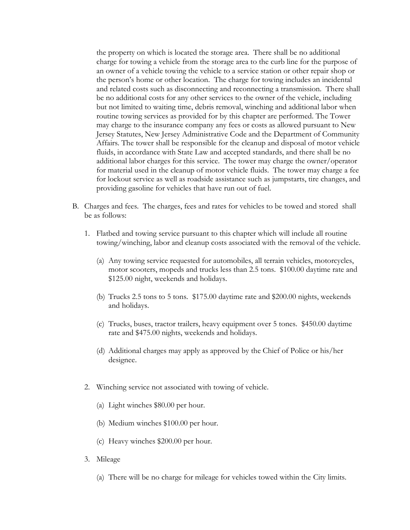the property on which is located the storage area. There shall be no additional charge for towing a vehicle from the storage area to the curb line for the purpose of an owner of a vehicle towing the vehicle to a service station or other repair shop or the person's home or other location. The charge for towing includes an incidental and related costs such as disconnecting and reconnecting a transmission. There shall be no additional costs for any other services to the owner of the vehicle, including but not limited to waiting time, debris removal, winching and additional labor when routine towing services as provided for by this chapter are performed. The Tower may charge to the insurance company any fees or costs as allowed pursuant to New Jersey Statutes, New Jersey Administrative Code and the Department of Community Affairs. The tower shall be responsible for the cleanup and disposal of motor vehicle fluids, in accordance with State Law and accepted standards, and there shall be no additional labor charges for this service. The tower may charge the owner/operator for material used in the cleanup of motor vehicle fluids. The tower may charge a fee for lockout service as well as roadside assistance such as jumpstarts, tire changes, and providing gasoline for vehicles that have run out of fuel.

- B. Charges and fees. The charges, fees and rates for vehicles to be towed and stored shall be as follows:
	- 1. Flatbed and towing service pursuant to this chapter which will include all routine towing/winching, labor and cleanup costs associated with the removal of the vehicle.
		- (a) Any towing service requested for automobiles, all terrain vehicles, motorcycles, motor scooters, mopeds and trucks less than 2.5 tons. \$100.00 daytime rate and \$125.00 night, weekends and holidays.
		- (b) Trucks 2.5 tons to 5 tons. \$175.00 daytime rate and \$200.00 nights, weekends and holidays.
		- (c) Trucks, buses, tractor trailers, heavy equipment over 5 tones. \$450.00 daytime rate and \$475.00 nights, weekends and holidays.
		- (d) Additional charges may apply as approved by the Chief of Police or his/her designee.
	- 2. Winching service not associated with towing of vehicle.
		- (a) Light winches \$80.00 per hour.
		- (b) Medium winches \$100.00 per hour.
		- (c) Heavy winches \$200.00 per hour.
	- 3. Mileage
		- (a) There will be no charge for mileage for vehicles towed within the City limits.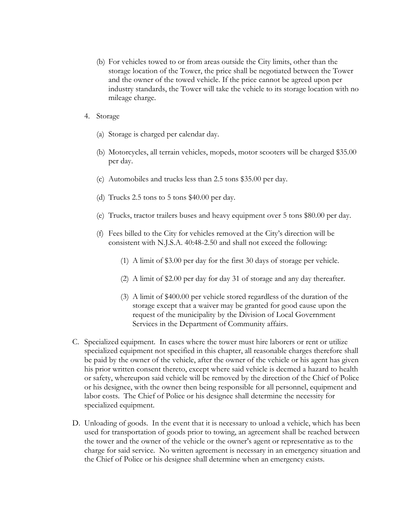- (b) For vehicles towed to or from areas outside the City limits, other than the storage location of the Tower, the price shall be negotiated between the Tower and the owner of the towed vehicle. If the price cannot be agreed upon per industry standards, the Tower will take the vehicle to its storage location with no mileage charge.
- 4. Storage
	- (a) Storage is charged per calendar day.
	- (b) Motorcycles, all terrain vehicles, mopeds, motor scooters will be charged \$35.00 per day.
	- (c) Automobiles and trucks less than 2.5 tons \$35.00 per day.
	- (d) Trucks 2.5 tons to 5 tons \$40.00 per day.
	- (e) Trucks, tractor trailers buses and heavy equipment over 5 tons \$80.00 per day.
	- (f) Fees billed to the City for vehicles removed at the City's direction will be consistent with N.J.S.A. 40:48-2.50 and shall not exceed the following:
		- (1) A limit of \$3.00 per day for the first 30 days of storage per vehicle.
		- (2) A limit of \$2.00 per day for day 31 of storage and any day thereafter.
		- (3) A limit of \$400.00 per vehicle stored regardless of the duration of the storage except that a waiver may be granted for good cause upon the request of the municipality by the Division of Local Government Services in the Department of Community affairs.
- C. Specialized equipment. In cases where the tower must hire laborers or rent or utilize specialized equipment not specified in this chapter, all reasonable charges therefore shall be paid by the owner of the vehicle, after the owner of the vehicle or his agent has given his prior written consent thereto, except where said vehicle is deemed a hazard to health or safety, whereupon said vehicle will be removed by the direction of the Chief of Police or his designee, with the owner then being responsible for all personnel, equipment and labor costs. The Chief of Police or his designee shall determine the necessity for specialized equipment.
- D. Unloading of goods. In the event that it is necessary to unload a vehicle, which has been used for transportation of goods prior to towing, an agreement shall be reached between the tower and the owner of the vehicle or the owner's agent or representative as to the charge for said service. No written agreement is necessary in an emergency situation and the Chief of Police or his designee shall determine when an emergency exists.